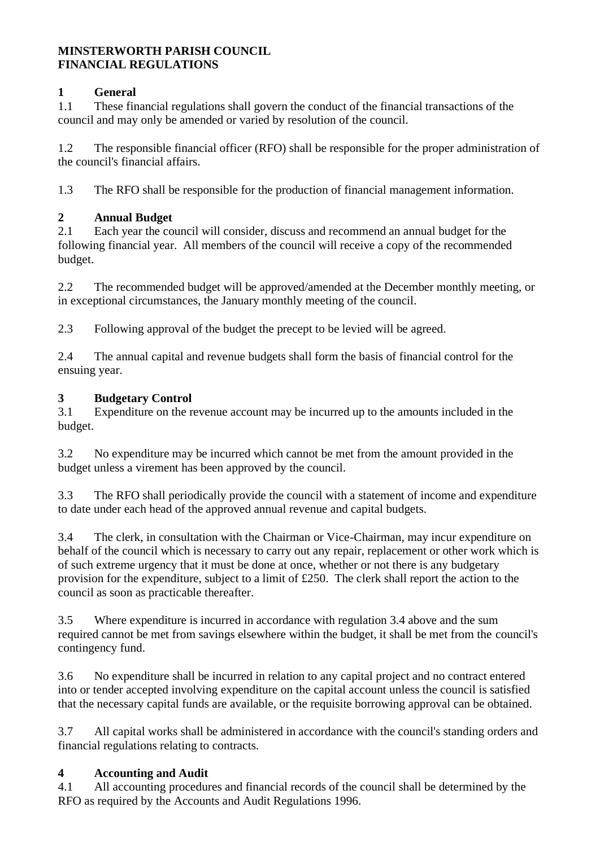#### **MINSTERWORTH PARISH COUNCIL FINANCIAL REGULATIONS**

### **1 General**

1.1 These financial regulations shall govern the conduct of the financial transactions of the council and may only be amended or varied by resolution of the council.

1.2 The responsible financial officer (RFO) shall be responsible for the proper administration of the council's financial affairs.

1.3 The RFO shall be responsible for the production of financial management information.

#### **2 Annual Budget**

2.1 Each year the council will consider, discuss and recommend an annual budget for the following financial year. All members of the council will receive a copy of the recommended budget.

2.2 The recommended budget will be approved/amended at the December monthly meeting, or in exceptional circumstances, the January monthly meeting of the council.

2.3 Following approval of the budget the precept to be levied will be agreed.

2.4 The annual capital and revenue budgets shall form the basis of financial control for the ensuing year.

#### **3 Budgetary Control**

3.1 Expenditure on the revenue account may be incurred up to the amounts included in the budget.

3.2 No expenditure may be incurred which cannot be met from the amount provided in the budget unless a virement has been approved by the council.

3.3 The RFO shall periodically provide the council with a statement of income and expenditure to date under each head of the approved annual revenue and capital budgets.

3.4 The clerk, in consultation with the Chairman or Vice-Chairman, may incur expenditure on behalf of the council which is necessary to carry out any repair, replacement or other work which is of such extreme urgency that it must be done at once, whether or not there is any budgetary provision for the expenditure, subject to a limit of £250. The clerk shall report the action to the council as soon as practicable thereafter.

3.5 Where expenditure is incurred in accordance with regulation 3.4 above and the sum required cannot be met from savings elsewhere within the budget, it shall be met from the council's contingency fund.

3.6 No expenditure shall be incurred in relation to any capital project and no contract entered into or tender accepted involving expenditure on the capital account unless the council is satisfied that the necessary capital funds are available, or the requisite borrowing approval can be obtained.

3.7 All capital works shall be administered in accordance with the council's standing orders and financial regulations relating to contracts.

#### **4 Accounting and Audit**

4.1 All accounting procedures and financial records of the council shall be determined by the RFO as required by the Accounts and Audit Regulations 1996.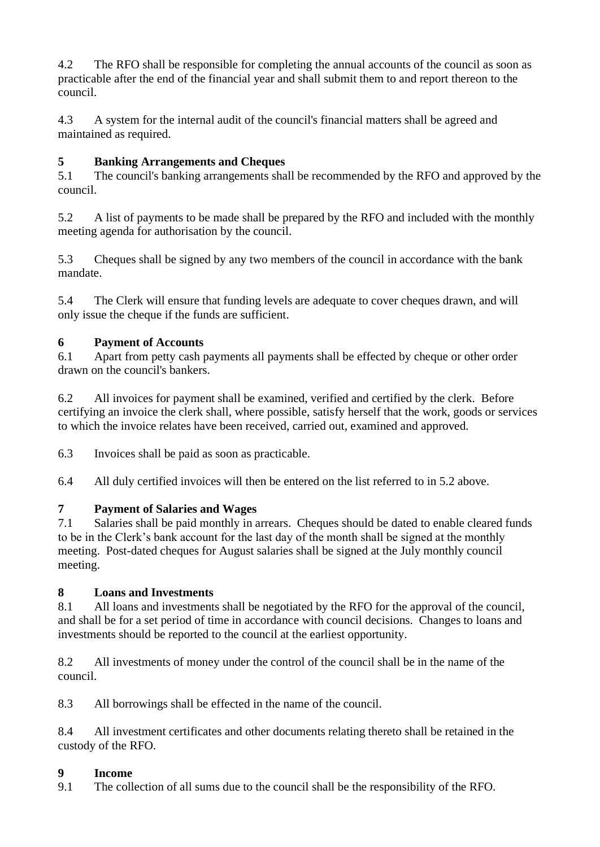4.2 The RFO shall be responsible for completing the annual accounts of the council as soon as practicable after the end of the financial year and shall submit them to and report thereon to the council.

4.3 A system for the internal audit of the council's financial matters shall be agreed and maintained as required.

## **5 Banking Arrangements and Cheques**

5.1 The council's banking arrangements shall be recommended by the RFO and approved by the council.

5.2 A list of payments to be made shall be prepared by the RFO and included with the monthly meeting agenda for authorisation by the council.

5.3 Cheques shall be signed by any two members of the council in accordance with the bank mandate.

5.4 The Clerk will ensure that funding levels are adequate to cover cheques drawn, and will only issue the cheque if the funds are sufficient.

## **6 Payment of Accounts**

6.1 Apart from petty cash payments all payments shall be effected by cheque or other order drawn on the council's bankers.

6.2 All invoices for payment shall be examined, verified and certified by the clerk. Before certifying an invoice the clerk shall, where possible, satisfy herself that the work, goods or services to which the invoice relates have been received, carried out, examined and approved.

6.3 Invoices shall be paid as soon as practicable.

6.4 All duly certified invoices will then be entered on the list referred to in 5.2 above.

# **7 Payment of Salaries and Wages**

7.1 Salaries shall be paid monthly in arrears. Cheques should be dated to enable cleared funds to be in the Clerk's bank account for the last day of the month shall be signed at the monthly meeting. Post-dated cheques for August salaries shall be signed at the July monthly council meeting.

## **8 Loans and Investments**

8.1 All loans and investments shall be negotiated by the RFO for the approval of the council, and shall be for a set period of time in accordance with council decisions. Changes to loans and investments should be reported to the council at the earliest opportunity.

8.2 All investments of money under the control of the council shall be in the name of the council.

8.3 All borrowings shall be effected in the name of the council.

8.4 All investment certificates and other documents relating thereto shall be retained in the custody of the RFO.

## **9 Income**

9.1 The collection of all sums due to the council shall be the responsibility of the RFO.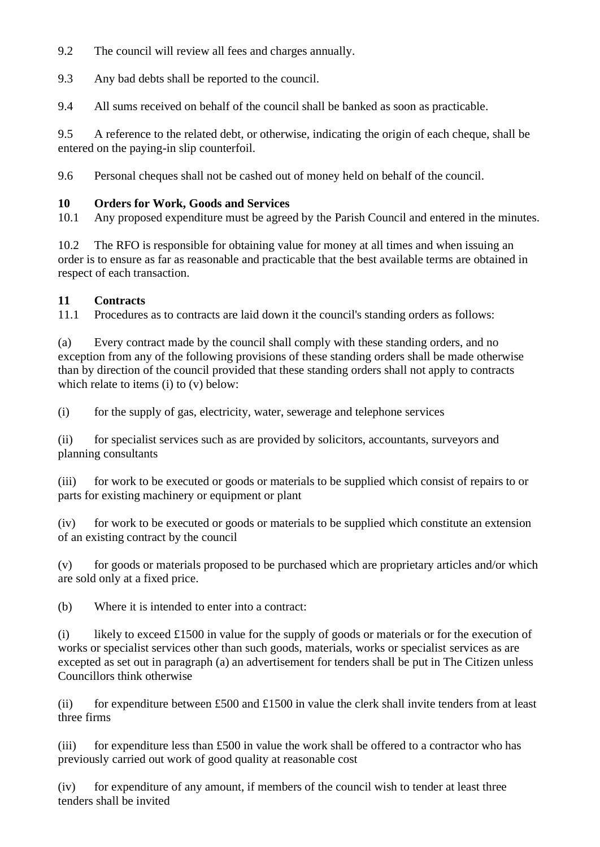9.2 The council will review all fees and charges annually.

9.3 Any bad debts shall be reported to the council.

9.4 All sums received on behalf of the council shall be banked as soon as practicable.

9.5 A reference to the related debt, or otherwise, indicating the origin of each cheque, shall be entered on the paying-in slip counterfoil.

9.6 Personal cheques shall not be cashed out of money held on behalf of the council.

### **10 Orders for Work, Goods and Services**

10.1 Any proposed expenditure must be agreed by the Parish Council and entered in the minutes.

10.2 The RFO is responsible for obtaining value for money at all times and when issuing an order is to ensure as far as reasonable and practicable that the best available terms are obtained in respect of each transaction.

### **11 Contracts**

11.1 Procedures as to contracts are laid down it the council's standing orders as follows:

(a) Every contract made by the council shall comply with these standing orders, and no exception from any of the following provisions of these standing orders shall be made otherwise than by direction of the council provided that these standing orders shall not apply to contracts which relate to items (i) to (y) below:

(i) for the supply of gas, electricity, water, sewerage and telephone services

(ii) for specialist services such as are provided by solicitors, accountants, surveyors and planning consultants

(iii) for work to be executed or goods or materials to be supplied which consist of repairs to or parts for existing machinery or equipment or plant

(iv) for work to be executed or goods or materials to be supplied which constitute an extension of an existing contract by the council

(v) for goods or materials proposed to be purchased which are proprietary articles and/or which are sold only at a fixed price.

(b) Where it is intended to enter into a contract:

(i) likely to exceed £1500 in value for the supply of goods or materials or for the execution of works or specialist services other than such goods, materials, works or specialist services as are excepted as set out in paragraph (a) an advertisement for tenders shall be put in The Citizen unless Councillors think otherwise

(ii) for expenditure between £500 and  $£1500$  in value the clerk shall invite tenders from at least three firms

(iii) for expenditure less than  $£500$  in value the work shall be offered to a contractor who has previously carried out work of good quality at reasonable cost

(iv) for expenditure of any amount, if members of the council wish to tender at least three tenders shall be invited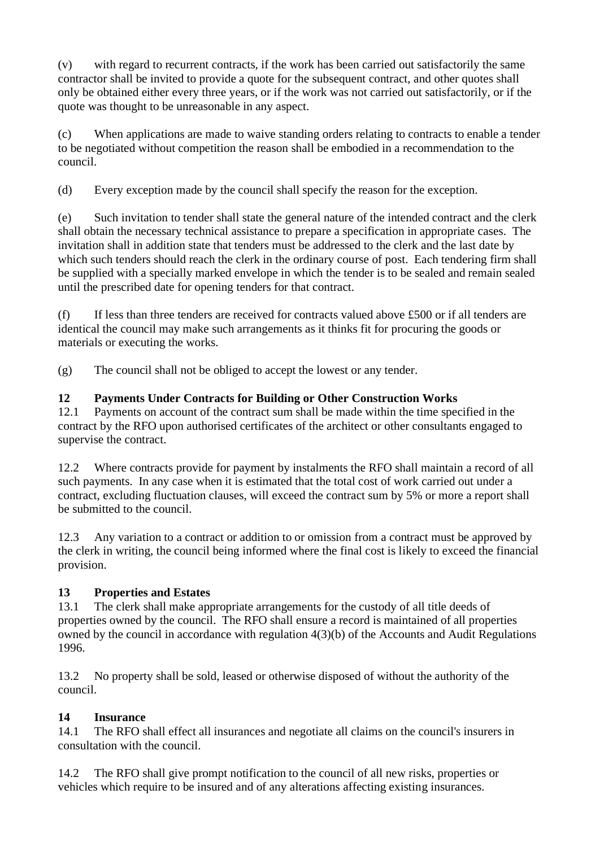(v) with regard to recurrent contracts, if the work has been carried out satisfactorily the same contractor shall be invited to provide a quote for the subsequent contract, and other quotes shall only be obtained either every three years, or if the work was not carried out satisfactorily, or if the quote was thought to be unreasonable in any aspect.

(c) When applications are made to waive standing orders relating to contracts to enable a tender to be negotiated without competition the reason shall be embodied in a recommendation to the council.

(d) Every exception made by the council shall specify the reason for the exception.

(e) Such invitation to tender shall state the general nature of the intended contract and the clerk shall obtain the necessary technical assistance to prepare a specification in appropriate cases. The invitation shall in addition state that tenders must be addressed to the clerk and the last date by which such tenders should reach the clerk in the ordinary course of post. Each tendering firm shall be supplied with a specially marked envelope in which the tender is to be sealed and remain sealed until the prescribed date for opening tenders for that contract.

(f) If less than three tenders are received for contracts valued above £500 or if all tenders are identical the council may make such arrangements as it thinks fit for procuring the goods or materials or executing the works.

(g) The council shall not be obliged to accept the lowest or any tender.

### **12 Payments Under Contracts for Building or Other Construction Works**

12.1 Payments on account of the contract sum shall be made within the time specified in the contract by the RFO upon authorised certificates of the architect or other consultants engaged to supervise the contract.

12.2 Where contracts provide for payment by instalments the RFO shall maintain a record of all such payments. In any case when it is estimated that the total cost of work carried out under a contract, excluding fluctuation clauses, will exceed the contract sum by 5% or more a report shall be submitted to the council.

12.3 Any variation to a contract or addition to or omission from a contract must be approved by the clerk in writing, the council being informed where the final cost is likely to exceed the financial provision.

### **13 Properties and Estates**

13.1 The clerk shall make appropriate arrangements for the custody of all title deeds of properties owned by the council. The RFO shall ensure a record is maintained of all properties owned by the council in accordance with regulation 4(3)(b) of the Accounts and Audit Regulations 1996.

13.2 No property shall be sold, leased or otherwise disposed of without the authority of the council.

## **14 Insurance**

14.1 The RFO shall effect all insurances and negotiate all claims on the council's insurers in consultation with the council.

14.2 The RFO shall give prompt notification to the council of all new risks, properties or vehicles which require to be insured and of any alterations affecting existing insurances.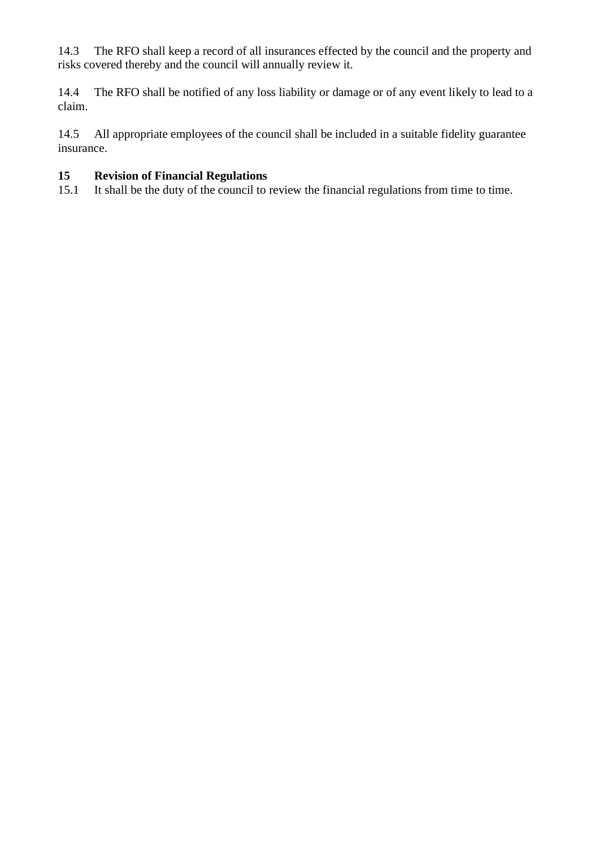14.3 The RFO shall keep a record of all insurances effected by the council and the property and risks covered thereby and the council will annually review it.

14.4 The RFO shall be notified of any loss liability or damage or of any event likely to lead to a claim.

14.5 All appropriate employees of the council shall be included in a suitable fidelity guarantee insurance.

### **15 Revision of Financial Regulations**

15.1 It shall be the duty of the council to review the financial regulations from time to time.